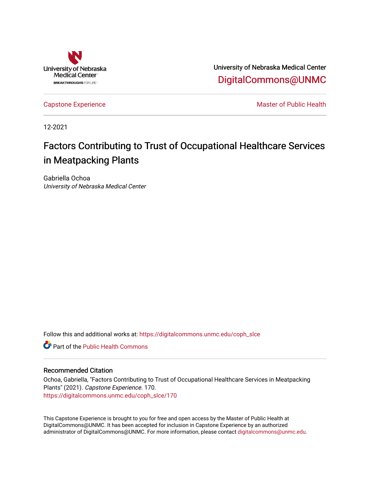

University of Nebraska Medical Center [DigitalCommons@UNMC](https://digitalcommons.unmc.edu/) 

[Capstone Experience](https://digitalcommons.unmc.edu/coph_slce) Master of Public Health

12-2021

# Factors Contributing to Trust of Occupational Healthcare Services in Meatpacking Plants

Gabriella Ochoa University of Nebraska Medical Center

Follow this and additional works at: [https://digitalcommons.unmc.edu/coph\\_slce](https://digitalcommons.unmc.edu/coph_slce?utm_source=digitalcommons.unmc.edu%2Fcoph_slce%2F170&utm_medium=PDF&utm_campaign=PDFCoverPages) 

**C** Part of the Public Health Commons

### Recommended Citation

Ochoa, Gabriella, "Factors Contributing to Trust of Occupational Healthcare Services in Meatpacking Plants" (2021). Capstone Experience. 170. [https://digitalcommons.unmc.edu/coph\\_slce/170](https://digitalcommons.unmc.edu/coph_slce/170?utm_source=digitalcommons.unmc.edu%2Fcoph_slce%2F170&utm_medium=PDF&utm_campaign=PDFCoverPages) 

This Capstone Experience is brought to you for free and open access by the Master of Public Health at DigitalCommons@UNMC. It has been accepted for inclusion in Capstone Experience by an authorized administrator of DigitalCommons@UNMC. For more information, please contact [digitalcommons@unmc.edu](mailto:digitalcommons@unmc.edu).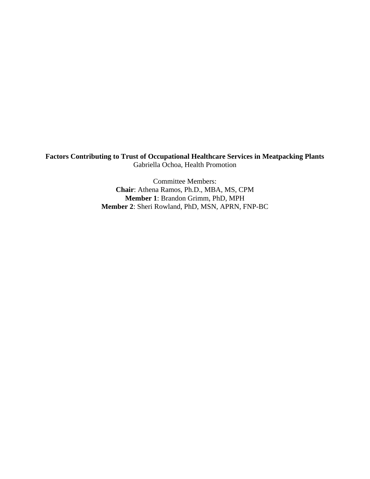**Factors Contributing to Trust of Occupational Healthcare Services in Meatpacking Plants** Gabriella Ochoa, Health Promotion

> Committee Members: **Chair**: Athena Ramos, Ph.D., MBA, MS, CPM **Member 1**: Brandon Grimm, PhD, MPH **Member 2**: Sheri Rowland, PhD, MSN, APRN, FNP-BC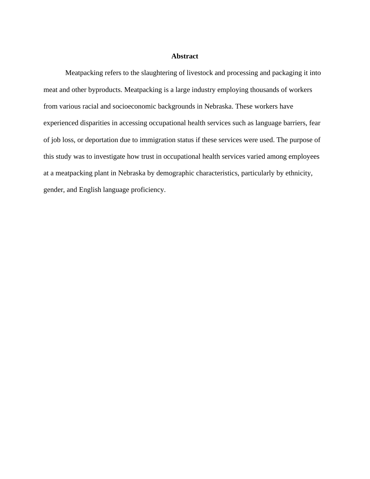### **Abstract**

Meatpacking refers to the slaughtering of livestock and processing and packaging it into meat and other byproducts. Meatpacking is a large industry employing thousands of workers from various racial and socioeconomic backgrounds in Nebraska. These workers have experienced disparities in accessing occupational health services such as language barriers, fear of job loss, or deportation due to immigration status if these services were used. The purpose of this study was to investigate how trust in occupational health services varied among employees at a meatpacking plant in Nebraska by demographic characteristics, particularly by ethnicity, gender, and English language proficiency.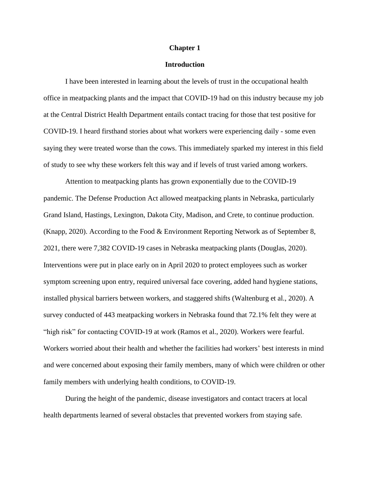#### **Chapter 1**

### **Introduction**

I have been interested in learning about the levels of trust in the occupational health office in meatpacking plants and the impact that COVID-19 had on this industry because my job at the Central District Health Department entails contact tracing for those that test positive for COVID-19. I heard firsthand stories about what workers were experiencing daily - some even saying they were treated worse than the cows. This immediately sparked my interest in this field of study to see why these workers felt this way and if levels of trust varied among workers.

Attention to meatpacking plants has grown exponentially due to the COVID-19 pandemic. The Defense Production Act allowed meatpacking plants in Nebraska, particularly Grand Island, Hastings, Lexington, Dakota City, Madison, and Crete, to continue production. (Knapp, 2020). According to the Food & Environment Reporting Network as of September 8, 2021, there were 7,382 COVID-19 cases in Nebraska meatpacking plants (Douglas, 2020). Interventions were put in place early on in April 2020 to protect employees such as worker symptom screening upon entry, required universal face covering, added hand hygiene stations, installed physical barriers between workers, and staggered shifts (Waltenburg et al., 2020). A survey conducted of 443 meatpacking workers in Nebraska found that 72.1% felt they were at "high risk" for contacting COVID-19 at work (Ramos et al., 2020). Workers were fearful. Workers worried about their health and whether the facilities had workers' best interests in mind and were concerned about exposing their family members, many of which were children or other family members with underlying health conditions, to COVID-19.

During the height of the pandemic, disease investigators and contact tracers at local health departments learned of several obstacles that prevented workers from staying safe.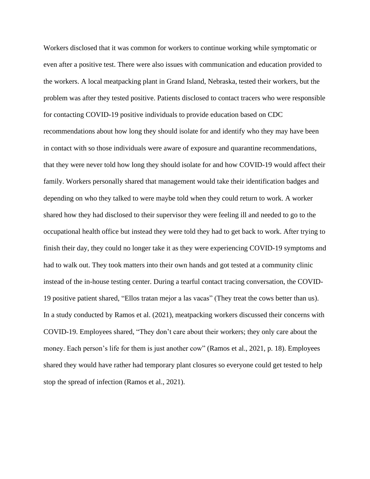Workers disclosed that it was common for workers to continue working while symptomatic or even after a positive test. There were also issues with communication and education provided to the workers. A local meatpacking plant in Grand Island, Nebraska, tested their workers, but the problem was after they tested positive. Patients disclosed to contact tracers who were responsible for contacting COVID-19 positive individuals to provide education based on CDC recommendations about how long they should isolate for and identify who they may have been in contact with so those individuals were aware of exposure and quarantine recommendations, that they were never told how long they should isolate for and how COVID-19 would affect their family. Workers personally shared that management would take their identification badges and depending on who they talked to were maybe told when they could return to work. A worker shared how they had disclosed to their supervisor they were feeling ill and needed to go to the occupational health office but instead they were told they had to get back to work. After trying to finish their day, they could no longer take it as they were experiencing COVID-19 symptoms and had to walk out. They took matters into their own hands and got tested at a community clinic instead of the in-house testing center. During a tearful contact tracing conversation, the COVID-19 positive patient shared, "Ellos tratan mejor a las vacas" (They treat the cows better than us). In a study conducted by Ramos et al. (2021), meatpacking workers discussed their concerns with COVID-19. Employees shared, "They don't care about their workers; they only care about the money. Each person's life for them is just another cow" (Ramos et al., 2021, p. 18). Employees shared they would have rather had temporary plant closures so everyone could get tested to help stop the spread of infection (Ramos et al., 2021).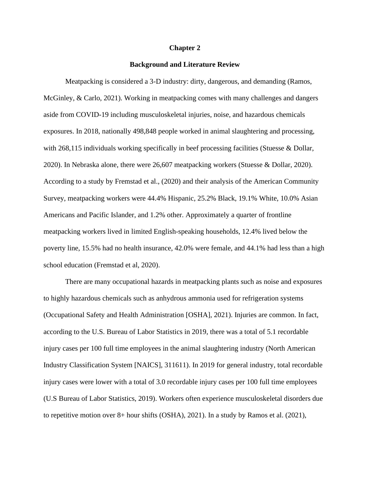#### **Chapter 2**

### **Background and Literature Review**

Meatpacking is considered a 3-D industry: dirty, dangerous, and demanding (Ramos, McGinley, & Carlo, 2021). Working in meatpacking comes with many challenges and dangers aside from COVID-19 including musculoskeletal injuries, noise, and hazardous chemicals exposures. In 2018, nationally 498,848 people worked in animal slaughtering and processing, with 268,115 individuals working specifically in beef processing facilities (Stuesse & Dollar, 2020). In Nebraska alone, there were 26,607 meatpacking workers (Stuesse & Dollar, 2020). According to a study by Fremstad et al., (2020) and their analysis of the American Community Survey, meatpacking workers were 44.4% Hispanic, 25.2% Black, 19.1% White, 10.0% Asian Americans and Pacific Islander, and 1.2% other. Approximately a quarter of frontline meatpacking workers lived in limited English-speaking households, 12.4% lived below the poverty line, 15.5% had no health insurance, 42.0% were female, and 44.1% had less than a high school education (Fremstad et al, 2020).

There are many occupational hazards in meatpacking plants such as noise and exposures to highly hazardous chemicals such as anhydrous ammonia used for refrigeration systems (Occupational Safety and Health Administration [OSHA], 2021). Injuries are common. In fact, according to the U.S. Bureau of Labor Statistics in 2019, there was a total of 5.1 recordable injury cases per 100 full time employees in the animal slaughtering industry (North American Industry Classification System [NAICS], 311611). In 2019 for general industry, total recordable injury cases were lower with a total of 3.0 recordable injury cases per 100 full time employees (U.S Bureau of Labor Statistics, 2019). Workers often experience musculoskeletal disorders due to repetitive motion over 8+ hour shifts (OSHA), 2021). In a study by Ramos et al. (2021),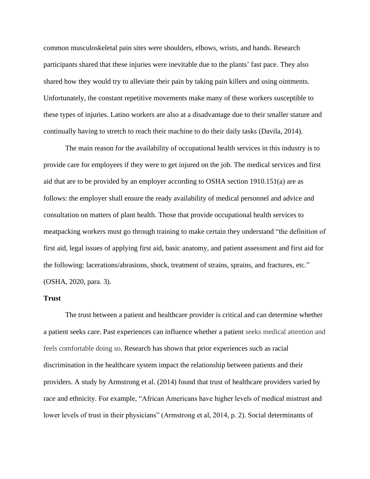common musculoskeletal pain sites were shoulders, elbows, wrists, and hands. Research participants shared that these injuries were inevitable due to the plants' fast pace. They also shared how they would try to alleviate their pain by taking pain killers and using ointments. Unfortunately, the constant repetitive movements make many of these workers susceptible to these types of injuries. Latino workers are also at a disadvantage due to their smaller stature and continually having to stretch to reach their machine to do their daily tasks (Davila, 2014).

The main reason for the availability of occupational health services in this industry is to provide care for employees if they were to get injured on the job. The medical services and first aid that are to be provided by an employer according to OSHA section 1910.151(a) are as follows: the employer shall ensure the ready availability of medical personnel and advice and consultation on matters of plant health. Those that provide occupational health services to meatpacking workers must go through training to make certain they understand "the definition of first aid, legal issues of applying first aid, basic anatomy, and patient assessment and first aid for the following: lacerations/abrasions, shock, treatment of strains, sprains, and fractures, etc." (OSHA, 2020, para. 3).

### **Trust**

The trust between a patient and healthcare provider is critical and can determine whether a patient seeks care. Past experiences can influence whether a patient seeks medical attention and feels comfortable doing so. Research has shown that prior experiences such as racial discrimination in the healthcare system impact the relationship between patients and their providers. A study by Armstrong et al. (2014) found that trust of healthcare providers varied by race and ethnicity. For example, "African Americans have higher levels of medical mistrust and lower levels of trust in their physicians" (Armstrong et al, 2014, p. 2). Social determinants of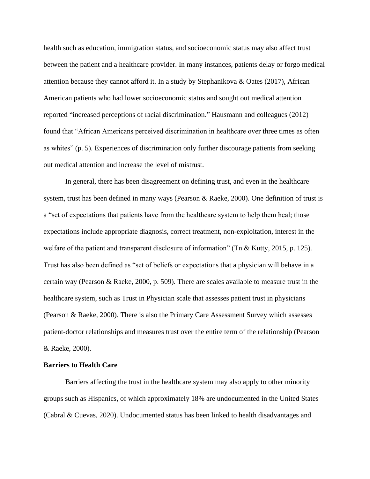health such as education, immigration status, and socioeconomic status may also affect trust between the patient and a healthcare provider. In many instances, patients delay or forgo medical attention because they cannot afford it. In a study by Stephanikova & Oates (2017), African American patients who had lower socioeconomic status and sought out medical attention reported "increased perceptions of racial discrimination." Hausmann and colleagues (2012) found that "African Americans perceived discrimination in healthcare over three times as often as whites" (p. 5). Experiences of discrimination only further discourage patients from seeking out medical attention and increase the level of mistrust.

In general, there has been disagreement on defining trust, and even in the healthcare system, trust has been defined in many ways (Pearson & Raeke, 2000). One definition of trust is a "set of expectations that patients have from the healthcare system to help them heal; those expectations include appropriate diagnosis, correct treatment, non-exploitation, interest in the welfare of the patient and transparent disclosure of information" (Tn & Kutty, 2015, p. 125). Trust has also been defined as "set of beliefs or expectations that a physician will behave in a certain way (Pearson & Raeke, 2000, p. 509). There are scales available to measure trust in the healthcare system, such as Trust in Physician scale that assesses patient trust in physicians (Pearson & Raeke, 2000). There is also the Primary Care Assessment Survey which assesses patient-doctor relationships and measures trust over the entire term of the relationship (Pearson & Raeke, 2000).

### **Barriers to Health Care**

Barriers affecting the trust in the healthcare system may also apply to other minority groups such as Hispanics, of which approximately 18% are undocumented in the United States (Cabral & Cuevas, 2020). Undocumented status has been linked to health disadvantages and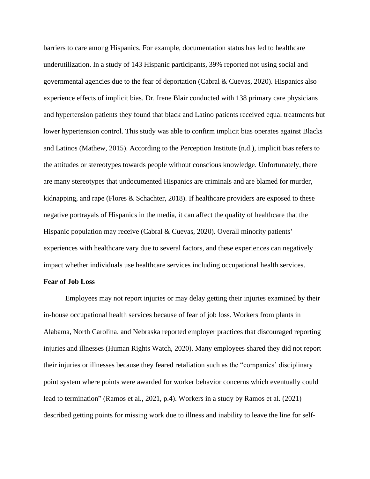barriers to care among Hispanics. For example, documentation status has led to healthcare underutilization. In a study of 143 Hispanic participants, 39% reported not using social and governmental agencies due to the fear of deportation (Cabral & Cuevas, 2020). Hispanics also experience effects of implicit bias. Dr. Irene Blair conducted with 138 primary care physicians and hypertension patients they found that black and Latino patients received equal treatments but lower hypertension control. This study was able to confirm implicit bias operates against Blacks and Latinos (Mathew, 2015). According to the Perception Institute (n.d.), implicit bias refers to the attitudes or stereotypes towards people without conscious knowledge. Unfortunately, there are many stereotypes that undocumented Hispanics are criminals and are blamed for murder, kidnapping, and rape (Flores  $\&$  Schachter, 2018). If healthcare providers are exposed to these negative portrayals of Hispanics in the media, it can affect the quality of healthcare that the Hispanic population may receive (Cabral & Cuevas, 2020). Overall minority patients' experiences with healthcare vary due to several factors, and these experiences can negatively impact whether individuals use healthcare services including occupational health services.

### **Fear of Job Loss**

Employees may not report injuries or may delay getting their injuries examined by their in-house occupational health services because of fear of job loss. Workers from plants in Alabama, North Carolina, and Nebraska reported employer practices that discouraged reporting injuries and illnesses (Human Rights Watch, 2020). Many employees shared they did not report their injuries or illnesses because they feared retaliation such as the "companies' disciplinary point system where points were awarded for worker behavior concerns which eventually could lead to termination" (Ramos et al., 2021, p.4). Workers in a study by Ramos et al. (2021) described getting points for missing work due to illness and inability to leave the line for self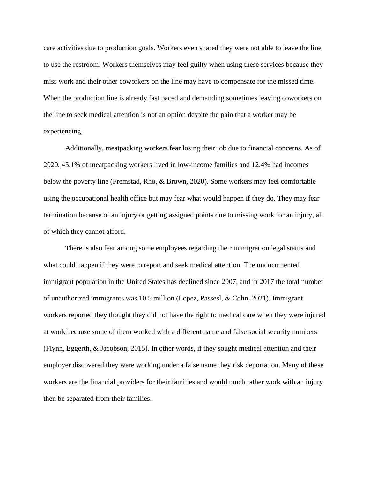care activities due to production goals. Workers even shared they were not able to leave the line to use the restroom. Workers themselves may feel guilty when using these services because they miss work and their other coworkers on the line may have to compensate for the missed time. When the production line is already fast paced and demanding sometimes leaving coworkers on the line to seek medical attention is not an option despite the pain that a worker may be experiencing.

Additionally, meatpacking workers fear losing their job due to financial concerns. As of 2020, 45.1% of meatpacking workers lived in low-income families and 12.4% had incomes below the poverty line (Fremstad, Rho, & Brown, 2020). Some workers may feel comfortable using the occupational health office but may fear what would happen if they do. They may fear termination because of an injury or getting assigned points due to missing work for an injury, all of which they cannot afford.

There is also fear among some employees regarding their immigration legal status and what could happen if they were to report and seek medical attention. The undocumented immigrant population in the United States has declined since 2007, and in 2017 the total number of unauthorized immigrants was 10.5 million (Lopez, Passesl, & Cohn, 2021). Immigrant workers reported they thought they did not have the right to medical care when they were injured at work because some of them worked with a different name and false social security numbers (Flynn, Eggerth, & Jacobson, 2015). In other words, if they sought medical attention and their employer discovered they were working under a false name they risk deportation. Many of these workers are the financial providers for their families and would much rather work with an injury then be separated from their families.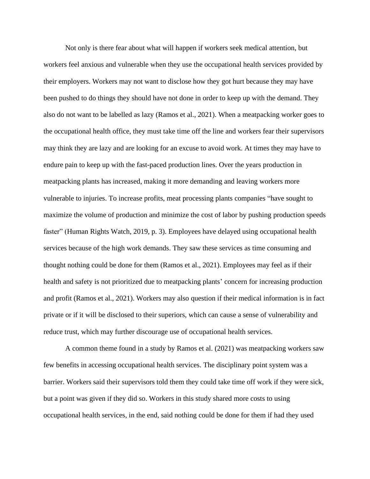Not only is there fear about what will happen if workers seek medical attention, but workers feel anxious and vulnerable when they use the occupational health services provided by their employers. Workers may not want to disclose how they got hurt because they may have been pushed to do things they should have not done in order to keep up with the demand. They also do not want to be labelled as lazy (Ramos et al., 2021). When a meatpacking worker goes to the occupational health office, they must take time off the line and workers fear their supervisors may think they are lazy and are looking for an excuse to avoid work. At times they may have to endure pain to keep up with the fast-paced production lines. Over the years production in meatpacking plants has increased, making it more demanding and leaving workers more vulnerable to injuries. To increase profits, meat processing plants companies "have sought to maximize the volume of production and minimize the cost of labor by pushing production speeds faster" (Human Rights Watch, 2019, p. 3). Employees have delayed using occupational health services because of the high work demands. They saw these services as time consuming and thought nothing could be done for them (Ramos et al., 2021). Employees may feel as if their health and safety is not prioritized due to meatpacking plants' concern for increasing production and profit (Ramos et al., 2021). Workers may also question if their medical information is in fact private or if it will be disclosed to their superiors, which can cause a sense of vulnerability and reduce trust, which may further discourage use of occupational health services.

A common theme found in a study by Ramos et al. (2021) was meatpacking workers saw few benefits in accessing occupational health services. The disciplinary point system was a barrier. Workers said their supervisors told them they could take time off work if they were sick, but a point was given if they did so. Workers in this study shared more costs to using occupational health services, in the end, said nothing could be done for them if had they used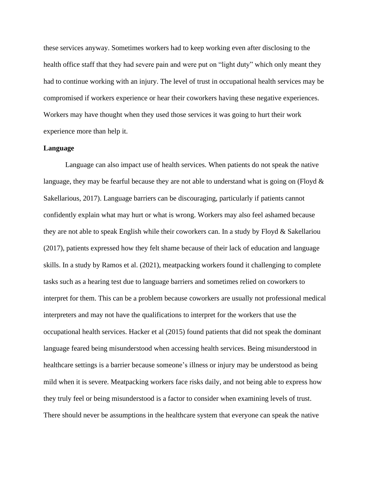these services anyway. Sometimes workers had to keep working even after disclosing to the health office staff that they had severe pain and were put on "light duty" which only meant they had to continue working with an injury. The level of trust in occupational health services may be compromised if workers experience or hear their coworkers having these negative experiences. Workers may have thought when they used those services it was going to hurt their work experience more than help it.

#### **Language**

Language can also impact use of health services. When patients do not speak the native language, they may be fearful because they are not able to understand what is going on (Floyd  $\&$ Sakellarious, 2017). Language barriers can be discouraging, particularly if patients cannot confidently explain what may hurt or what is wrong. Workers may also feel ashamed because they are not able to speak English while their coworkers can. In a study by Floyd  $\&$  Sakellariou (2017), patients expressed how they felt shame because of their lack of education and language skills. In a study by Ramos et al. (2021), meatpacking workers found it challenging to complete tasks such as a hearing test due to language barriers and sometimes relied on coworkers to interpret for them. This can be a problem because coworkers are usually not professional medical interpreters and may not have the qualifications to interpret for the workers that use the occupational health services. Hacker et al (2015) found patients that did not speak the dominant language feared being misunderstood when accessing health services. Being misunderstood in healthcare settings is a barrier because someone's illness or injury may be understood as being mild when it is severe. Meatpacking workers face risks daily, and not being able to express how they truly feel or being misunderstood is a factor to consider when examining levels of trust. There should never be assumptions in the healthcare system that everyone can speak the native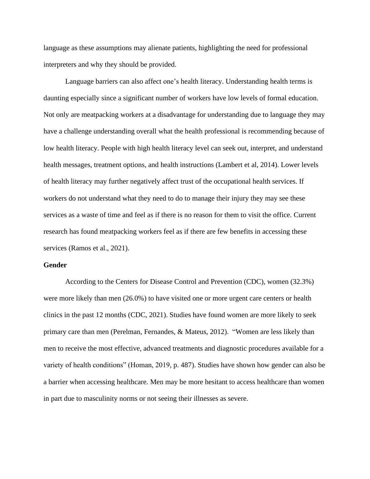language as these assumptions may alienate patients, highlighting the need for professional interpreters and why they should be provided.

Language barriers can also affect one's health literacy. Understanding health terms is daunting especially since a significant number of workers have low levels of formal education. Not only are meatpacking workers at a disadvantage for understanding due to language they may have a challenge understanding overall what the health professional is recommending because of low health literacy. People with high health literacy level can seek out, interpret, and understand health messages, treatment options, and health instructions (Lambert et al, 2014). Lower levels of health literacy may further negatively affect trust of the occupational health services. If workers do not understand what they need to do to manage their injury they may see these services as a waste of time and feel as if there is no reason for them to visit the office. Current research has found meatpacking workers feel as if there are few benefits in accessing these services (Ramos et al., 2021).

### **Gender**

According to the Centers for Disease Control and Prevention (CDC), women (32.3%) were more likely than men (26.0%) to have visited one or more urgent care centers or health clinics in the past 12 months (CDC, 2021). Studies have found women are more likely to seek primary care than men (Perelman, Fernandes, & Mateus, 2012). "Women are less likely than men to receive the most effective, advanced treatments and diagnostic procedures available for a variety of health conditions" (Homan, 2019, p. 487). Studies have shown how gender can also be a barrier when accessing healthcare. Men may be more hesitant to access healthcare than women in part due to masculinity norms or not seeing their illnesses as severe.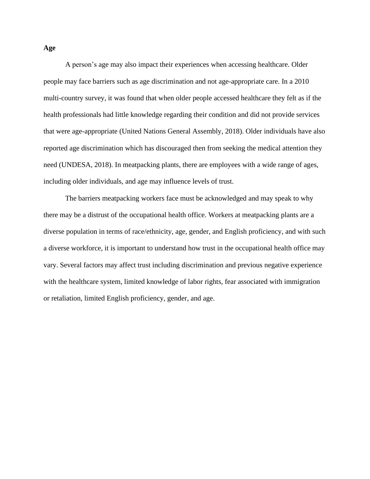A person's age may also impact their experiences when accessing healthcare. Older people may face barriers such as age discrimination and not age-appropriate care. In a 2010 multi-country survey, it was found that when older people accessed healthcare they felt as if the health professionals had little knowledge regarding their condition and did not provide services that were age-appropriate (United Nations General Assembly, 2018). Older individuals have also reported age discrimination which has discouraged then from seeking the medical attention they need (UNDESA, 2018). In meatpacking plants, there are employees with a wide range of ages, including older individuals, and age may influence levels of trust.

The barriers meatpacking workers face must be acknowledged and may speak to why there may be a distrust of the occupational health office. Workers at meatpacking plants are a diverse population in terms of race/ethnicity, age, gender, and English proficiency, and with such a diverse workforce, it is important to understand how trust in the occupational health office may vary. Several factors may affect trust including discrimination and previous negative experience with the healthcare system, limited knowledge of labor rights, fear associated with immigration or retaliation, limited English proficiency, gender, and age.

### **Age**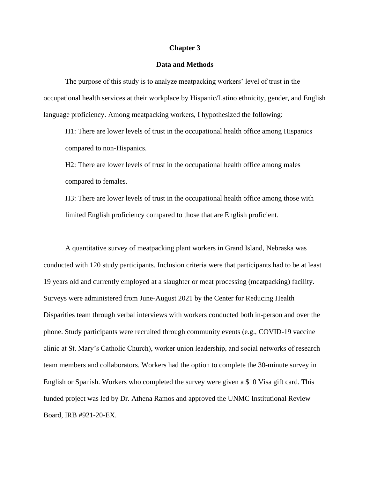### **Chapter 3**

### **Data and Methods**

The purpose of this study is to analyze meatpacking workers' level of trust in the occupational health services at their workplace by Hispanic/Latino ethnicity, gender, and English language proficiency. Among meatpacking workers, I hypothesized the following:

H1: There are lower levels of trust in the occupational health office among Hispanics compared to non-Hispanics.

H2: There are lower levels of trust in the occupational health office among males compared to females.

H3: There are lower levels of trust in the occupational health office among those with limited English proficiency compared to those that are English proficient.

A quantitative survey of meatpacking plant workers in Grand Island, Nebraska was conducted with 120 study participants. Inclusion criteria were that participants had to be at least 19 years old and currently employed at a slaughter or meat processing (meatpacking) facility. Surveys were administered from June-August 2021 by the Center for Reducing Health Disparities team through verbal interviews with workers conducted both in-person and over the phone. Study participants were recruited through community events (e.g., COVID-19 vaccine clinic at St. Mary's Catholic Church), worker union leadership, and social networks of research team members and collaborators. Workers had the option to complete the 30-minute survey in English or Spanish. Workers who completed the survey were given a \$10 Visa gift card. This funded project was led by Dr. Athena Ramos and approved the UNMC Institutional Review Board, IRB #921-20-EX.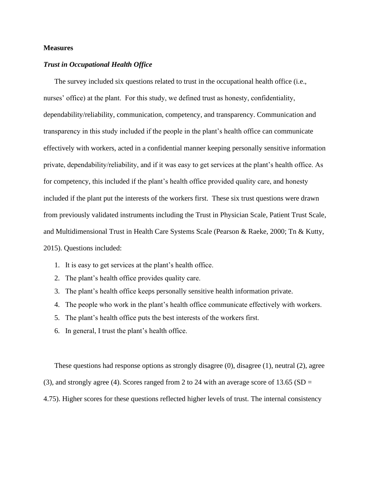### **Measures**

### *Trust in Occupational Health Office*

The survey included six questions related to trust in the occupational health office (i.e., nurses' office) at the plant. For this study, we defined trust as honesty, confidentiality, dependability/reliability, communication, competency, and transparency. Communication and transparency in this study included if the people in the plant's health office can communicate effectively with workers, acted in a confidential manner keeping personally sensitive information private, dependability/reliability, and if it was easy to get services at the plant's health office. As for competency, this included if the plant's health office provided quality care, and honesty included if the plant put the interests of the workers first. These six trust questions were drawn from previously validated instruments including the Trust in Physician Scale, Patient Trust Scale, and Multidimensional Trust in Health Care Systems Scale (Pearson & Raeke, 2000; Tn & Kutty, 2015). Questions included:

- 1. It is easy to get services at the plant's health office.
- 2. The plant's health office provides quality care.
- 3. The plant's health office keeps personally sensitive health information private.
- 4. The people who work in the plant's health office communicate effectively with workers.
- 5. The plant's health office puts the best interests of the workers first.
- 6. In general, I trust the plant's health office.

These questions had response options as strongly disagree (0), disagree (1), neutral (2), agree (3), and strongly agree (4). Scores ranged from 2 to 24 with an average score of  $13.65$  (SD = 4.75). Higher scores for these questions reflected higher levels of trust. The internal consistency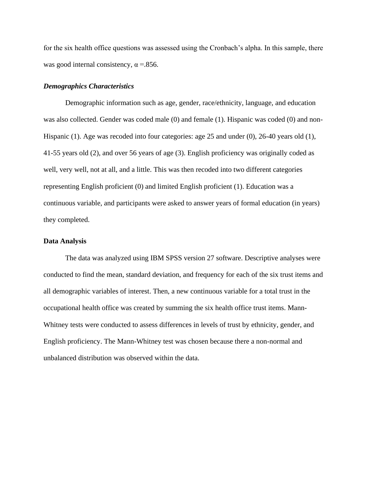for the six health office questions was assessed using the Cronbach's alpha. In this sample, there was good internal consistency,  $\alpha = 856$ .

### *Demographics Characteristics*

Demographic information such as age, gender, race/ethnicity, language, and education was also collected. Gender was coded male (0) and female (1). Hispanic was coded (0) and non-Hispanic (1). Age was recoded into four categories: age 25 and under (0), 26-40 years old (1), 41-55 years old (2), and over 56 years of age (3). English proficiency was originally coded as well, very well, not at all, and a little. This was then recoded into two different categories representing English proficient (0) and limited English proficient (1). Education was a continuous variable, and participants were asked to answer years of formal education (in years) they completed.

### **Data Analysis**

The data was analyzed using IBM SPSS version 27 software. Descriptive analyses were conducted to find the mean, standard deviation, and frequency for each of the six trust items and all demographic variables of interest. Then, a new continuous variable for a total trust in the occupational health office was created by summing the six health office trust items. Mann-Whitney tests were conducted to assess differences in levels of trust by ethnicity, gender, and English proficiency. The Mann-Whitney test was chosen because there a non-normal and unbalanced distribution was observed within the data.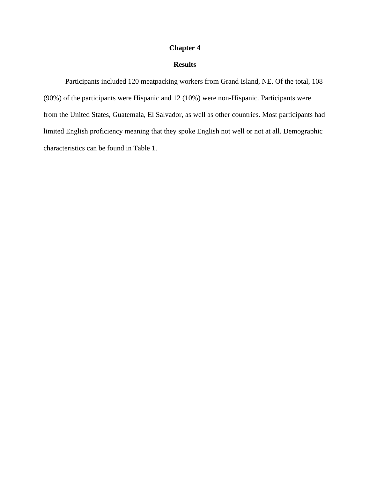### **Chapter 4**

### **Results**

Participants included 120 meatpacking workers from Grand Island, NE. Of the total, 108 (90%) of the participants were Hispanic and 12 (10%) were non-Hispanic. Participants were from the United States, Guatemala, El Salvador, as well as other countries. Most participants had limited English proficiency meaning that they spoke English not well or not at all. Demographic characteristics can be found in Table 1.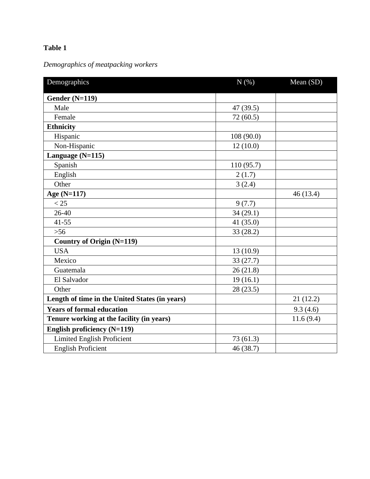## **Table 1**

# *Demographics of meatpacking workers*

| Demographics                                   | N(% )      | Mean (SD) |
|------------------------------------------------|------------|-----------|
| Gender $(N=119)$                               |            |           |
| Male                                           | 47 (39.5)  |           |
| Female                                         | 72(60.5)   |           |
| <b>Ethnicity</b>                               |            |           |
| Hispanic                                       | 108 (90.0) |           |
| Non-Hispanic                                   | 12(10.0)   |           |
| Language (N=115)                               |            |           |
| Spanish                                        | 110(95.7)  |           |
| English                                        | 2(1.7)     |           |
| Other                                          | 3(2.4)     |           |
| Age (N=117)                                    |            | 46(13.4)  |
| < 25                                           | 9(7.7)     |           |
| 26-40                                          | 34(29.1)   |           |
| $41 - 55$                                      | 41 (35.0)  |           |
| $>56$                                          | 33(28.2)   |           |
| <b>Country of Origin (N=119)</b>               |            |           |
| <b>USA</b>                                     | 13 (10.9)  |           |
| Mexico                                         | 33 (27.7)  |           |
| Guatemala                                      | 26(21.8)   |           |
| El Salvador                                    | 19(16.1)   |           |
| Other                                          | 28(23.5)   |           |
| Length of time in the United States (in years) |            | 21(12.2)  |
| <b>Years of formal education</b>               |            | 9.3(4.6)  |
| Tenure working at the facility (in years)      |            | 11.6(9.4) |
| English proficiency (N=119)                    |            |           |
| <b>Limited English Proficient</b>              | 73 (61.3)  |           |
| <b>English Proficient</b>                      | 46(38.7)   |           |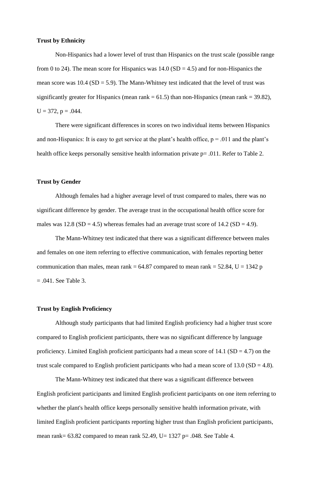### **Trust by Ethnicity**

Non-Hispanics had a lower level of trust than Hispanics on the trust scale (possible range from 0 to 24). The mean score for Hispanics was  $14.0$  (SD = 4.5) and for non-Hispanics the mean score was  $10.4$  (SD = 5.9). The Mann-Whitney test indicated that the level of trust was significantly greater for Hispanics (mean rank  $= 61.5$ ) than non-Hispanics (mean rank  $= 39.82$ ),  $U = 372$ ,  $p = .044$ .

There were significant differences in scores on two individual items between Hispanics and non-Hispanics: It is easy to get service at the plant's health office,  $p = .011$  and the plant's health office keeps personally sensitive health information private  $p = .011$ . Refer to Table 2.

### **Trust by Gender**

Although females had a higher average level of trust compared to males, there was no significant difference by gender. The average trust in the occupational health office score for males was  $12.8$  (SD = 4.5) whereas females had an average trust score of  $14.2$  (SD = 4.9).

The Mann-Whitney test indicated that there was a significant difference between males and females on one item referring to effective communication, with females reporting better communication than males, mean rank =  $64.87$  compared to mean rank =  $52.84$ , U = 1342 p = .041. See Table 3.

### **Trust by English Proficiency**

Although study participants that had limited English proficiency had a higher trust score compared to English proficient participants, there was no significant difference by language proficiency. Limited English proficient participants had a mean score of  $14.1$  (SD = 4.7) on the trust scale compared to English proficient participants who had a mean score of  $13.0$  (SD = 4.8).

The Mann-Whitney test indicated that there was a significant difference between English proficient participants and limited English proficient participants on one item referring to whether the plant's health office keeps personally sensitive health information private, with limited English proficient participants reporting higher trust than English proficient participants, mean rank= 63.82 compared to mean rank 52.49, U= 1327 p= .048. See Table 4.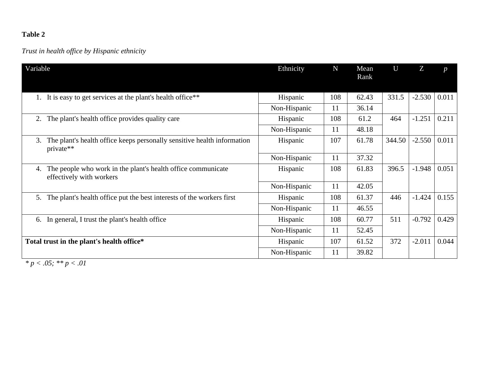## **Table 2**

# *Trust in health office by Hispanic ethnicity*

| Variable                                                                                       | Ethnicity    | $\mathbf N$ | Mean<br>Rank | U      | Z        | $\boldsymbol{D}$ |
|------------------------------------------------------------------------------------------------|--------------|-------------|--------------|--------|----------|------------------|
| It is easy to get services at the plant's health office**                                      | Hispanic     | 108         | 62.43        | 331.5  | $-2.530$ | 0.011            |
|                                                                                                | Non-Hispanic | 11          | 36.14        |        |          |                  |
| The plant's health office provides quality care<br>2.                                          | Hispanic     | 108         | 61.2         | 464    | $-1.251$ | 0.211            |
|                                                                                                | Non-Hispanic | 11          | 48.18        |        |          |                  |
| The plant's health office keeps personally sensitive health information<br>3.<br>private**     | Hispanic     | 107         | 61.78        | 344.50 | $-2.550$ | 0.011            |
|                                                                                                | Non-Hispanic | 11          | 37.32        |        |          |                  |
| The people who work in the plant's health office communicate<br>4.<br>effectively with workers | Hispanic     | 108         | 61.83        | 396.5  | $-1.948$ | 0.051            |
|                                                                                                | Non-Hispanic | 11          | 42.05        |        |          |                  |
| The plant's health office put the best interests of the workers first<br>5.                    | Hispanic     | 108         | 61.37        | 446    | $-1.424$ | 0.155            |
|                                                                                                | Non-Hispanic | 11          | 46.55        |        |          |                  |
| In general, I trust the plant's health office<br>6.                                            | Hispanic     | 108         | 60.77        | 511    | $-0.792$ | 0.429            |
|                                                                                                | Non-Hispanic | 11          | 52.45        |        |          |                  |
| Total trust in the plant's health office*                                                      | Hispanic     | 107         | 61.52        | 372    | $-2.011$ | 0.044            |
|                                                                                                | Non-Hispanic | 11          | 39.82        |        |          |                  |

*\* p < .05; \*\* p < .01*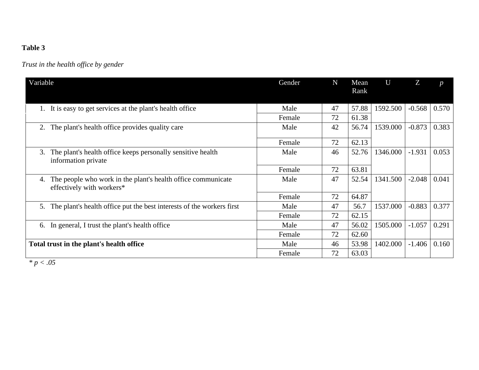## **Table 3**

# *Trust in the health office by gender*

| Variable                                                                                        | Gender | $\mathbf N$ | Mean<br>Rank | U        | Z        | $\boldsymbol{D}$ |
|-------------------------------------------------------------------------------------------------|--------|-------------|--------------|----------|----------|------------------|
| It is easy to get services at the plant's health office                                         | Male   | 47          | 57.88        | 1592.500 | $-0.568$ | 0.570            |
|                                                                                                 | Female | 72          | 61.38        |          |          |                  |
| The plant's health office provides quality care<br>2.                                           | Male   | 42          | 56.74        | 1539.000 | $-0.873$ | 0.383            |
|                                                                                                 | Female | 72          | 62.13        |          |          |                  |
| The plant's health office keeps personally sensitive health<br>3.<br>information private        | Male   | 46          | 52.76        | 1346.000 | $-1.931$ | 0.053            |
|                                                                                                 | Female | 72          | 63.81        |          |          |                  |
| The people who work in the plant's health office communicate<br>4.<br>effectively with workers* | Male   | 47          | 52.54        | 1341.500 | $-2.048$ | 0.041            |
|                                                                                                 | Female | 72          | 64.87        |          |          |                  |
| The plant's health office put the best interests of the workers first<br>5.                     | Male   | 47          | 56.7         | 1537.000 | $-0.883$ | 0.377            |
|                                                                                                 | Female | 72          | 62.15        |          |          |                  |
| 6. In general, I trust the plant's health office                                                | Male   | 47          | 56.02        | 1505.000 | $-1.057$ | 0.291            |
|                                                                                                 | Female | 72          | 62.60        |          |          |                  |
| Total trust in the plant's health office                                                        | Male   | 46          | 53.98        | 1402.000 | $-1.406$ | 0.160            |
|                                                                                                 | Female | 72          | 63.03        |          |          |                  |

*\* p < .05*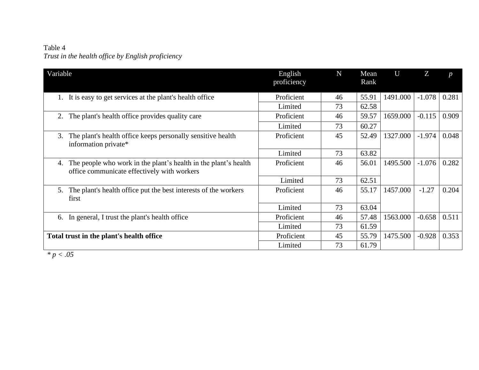## Table 4 *Trust in the health office by English proficiency*

| Variable                                                                                                             | English<br>proficiency | $\mathbf N$ | Mean<br>Rank | U        | Z        | $\boldsymbol{p}$ |
|----------------------------------------------------------------------------------------------------------------------|------------------------|-------------|--------------|----------|----------|------------------|
| It is easy to get services at the plant's health office                                                              | Proficient             | 46          | 55.91        | 1491.000 | $-1.078$ | 0.281            |
|                                                                                                                      | Limited                | 73          | 62.58        |          |          |                  |
| The plant's health office provides quality care<br>2.                                                                | Proficient             | 46          | 59.57        | 1659.000 | $-0.115$ | 0.909            |
|                                                                                                                      | Limited                | 73          | 60.27        |          |          |                  |
| The plant's health office keeps personally sensitive health<br>3.<br>information private*                            | Proficient             | 45          | 52.49        | 1327.000 | $-1.974$ | 0.048            |
|                                                                                                                      | Limited                | 73          | 63.82        |          |          |                  |
| The people who work in the plant's health in the plant's health<br>4.<br>office communicate effectively with workers | Proficient             | 46          | 56.01        | 1495.500 | $-1.076$ | 0.282            |
|                                                                                                                      | Limited                | 73          | 62.51        |          |          |                  |
| The plant's health office put the best interests of the workers<br>5.<br>first                                       | Proficient             | 46          | 55.17        | 1457.000 | $-1.27$  | 0.204            |
|                                                                                                                      | Limited                | 73          | 63.04        |          |          |                  |
| In general, I trust the plant's health office<br>6.                                                                  | Proficient             | 46          | 57.48        | 1563.000 | $-0.658$ | 0.511            |
|                                                                                                                      | Limited                | 73          | 61.59        |          |          |                  |
| Total trust in the plant's health office                                                                             | Proficient             | 45          | 55.79        | 1475.500 | $-0.928$ | 0.353            |
|                                                                                                                      | Limited                | 73          | 61.79        |          |          |                  |

*\* p < .05*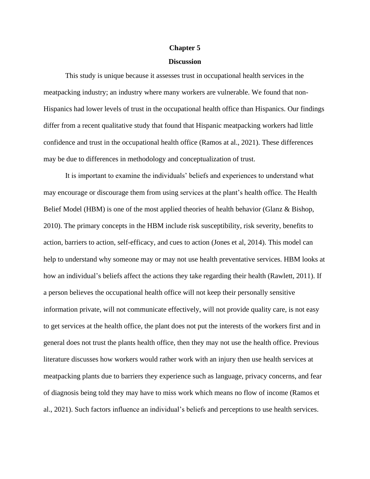#### **Chapter 5**

### **Discussion**

This study is unique because it assesses trust in occupational health services in the meatpacking industry; an industry where many workers are vulnerable. We found that non-Hispanics had lower levels of trust in the occupational health office than Hispanics. Our findings differ from a recent qualitative study that found that Hispanic meatpacking workers had little confidence and trust in the occupational health office (Ramos at al., 2021). These differences may be due to differences in methodology and conceptualization of trust.

It is important to examine the individuals' beliefs and experiences to understand what may encourage or discourage them from using services at the plant's health office. The Health Belief Model (HBM) is one of the most applied theories of health behavior (Glanz & Bishop, 2010). The primary concepts in the HBM include risk susceptibility, risk severity, benefits to action, barriers to action, self-efficacy, and cues to action (Jones et al, 2014). This model can help to understand why someone may or may not use health preventative services. HBM looks at how an individual's beliefs affect the actions they take regarding their health (Rawlett, 2011). If a person believes the occupational health office will not keep their personally sensitive information private, will not communicate effectively, will not provide quality care, is not easy to get services at the health office, the plant does not put the interests of the workers first and in general does not trust the plants health office, then they may not use the health office. Previous literature discusses how workers would rather work with an injury then use health services at meatpacking plants due to barriers they experience such as language, privacy concerns, and fear of diagnosis being told they may have to miss work which means no flow of income (Ramos et al., 2021). Such factors influence an individual's beliefs and perceptions to use health services.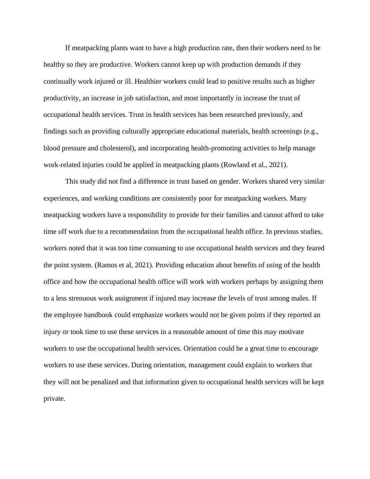If meatpacking plants want to have a high production rate, then their workers need to be healthy so they are productive. Workers cannot keep up with production demands if they continually work injured or ill. Healthier workers could lead to positive results such as higher productivity, an increase in job satisfaction, and most importantly in increase the trust of occupational health services. Trust in health services has been researched previously, and findings such as providing culturally appropriate educational materials, health screenings (e.g., blood pressure and cholesterol), and incorporating health-promoting activities to help manage work-related injuries could be applied in meatpacking plants (Rowland et al., 2021).

This study did not find a difference in trust based on gender. Workers shared very similar experiences, and working conditions are consistently poor for meatpacking workers. Many meatpacking workers have a responsibility to provide for their families and cannot afford to take time off work due to a recommendation from the occupational health office. In previous studies, workers noted that it was too time consuming to use occupational health services and they feared the point system. (Ramos et al, 2021). Providing education about benefits of using of the health office and how the occupational health office will work with workers perhaps by assigning them to a less strenuous work assignment if injured may increase the levels of trust among males. If the employee handbook could emphasize workers would not be given points if they reported an injury or took time to use these services in a reasonable amount of time this may motivate workers to use the occupational health services. Orientation could be a great time to encourage workers to use these services. During orientation, management could explain to workers that they will not be penalized and that information given to occupational health services will be kept private.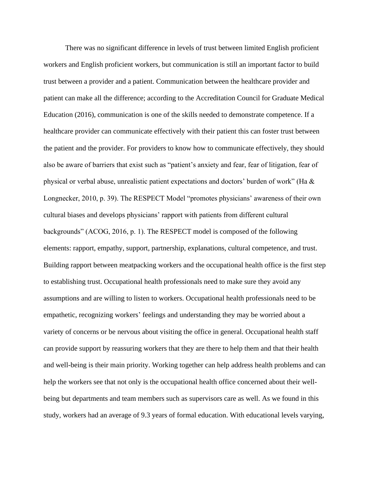There was no significant difference in levels of trust between limited English proficient workers and English proficient workers, but communication is still an important factor to build trust between a provider and a patient. Communication between the healthcare provider and patient can make all the difference; according to the Accreditation Council for Graduate Medical Education (2016), communication is one of the skills needed to demonstrate competence. If a healthcare provider can communicate effectively with their patient this can foster trust between the patient and the provider. For providers to know how to communicate effectively, they should also be aware of barriers that exist such as "patient's anxiety and fear, fear of litigation, fear of physical or verbal abuse, unrealistic patient expectations and doctors' burden of work" (Ha & Longnecker, 2010, p. 39). The RESPECT Model "promotes physicians' awareness of their own cultural biases and develops physicians' rapport with patients from different cultural backgrounds" (ACOG, 2016, p. 1). The RESPECT model is composed of the following elements: rapport, empathy, support, partnership, explanations, cultural competence, and trust. Building rapport between meatpacking workers and the occupational health office is the first step to establishing trust. Occupational health professionals need to make sure they avoid any assumptions and are willing to listen to workers. Occupational health professionals need to be empathetic, recognizing workers' feelings and understanding they may be worried about a variety of concerns or be nervous about visiting the office in general. Occupational health staff can provide support by reassuring workers that they are there to help them and that their health and well-being is their main priority. Working together can help address health problems and can help the workers see that not only is the occupational health office concerned about their wellbeing but departments and team members such as supervisors care as well. As we found in this study, workers had an average of 9.3 years of formal education. With educational levels varying,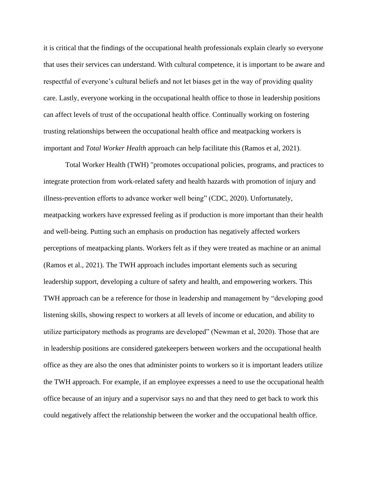it is critical that the findings of the occupational health professionals explain clearly so everyone that uses their services can understand. With cultural competence, it is important to be aware and respectful of everyone's cultural beliefs and not let biases get in the way of providing quality care. Lastly, everyone working in the occupational health office to those in leadership positions can affect levels of trust of the occupational health office. Continually working on fostering trusting relationships between the occupational health office and meatpacking workers is important and *Total Worker Health* approach can help facilitate this (Ramos et al, 2021).

Total Worker Health (TWH) "promotes occupational policies, programs, and practices to integrate protection from work-related safety and health hazards with promotion of injury and illness-prevention efforts to advance worker well being" (CDC, 2020). Unfortunately, meatpacking workers have expressed feeling as if production is more important than their health and well-being. Putting such an emphasis on production has negatively affected workers perceptions of meatpacking plants. Workers felt as if they were treated as machine or an animal (Ramos et al., 2021). The TWH approach includes important elements such as securing leadership support, developing a culture of safety and health, and empowering workers. This TWH approach can be a reference for those in leadership and management by "developing good listening skills, showing respect to workers at all levels of income or education, and ability to utilize participatory methods as programs are developed" (Newman et al, 2020). Those that are in leadership positions are considered gatekeepers between workers and the occupational health office as they are also the ones that administer points to workers so it is important leaders utilize the TWH approach. For example, if an employee expresses a need to use the occupational health office because of an injury and a supervisor says no and that they need to get back to work this could negatively affect the relationship between the worker and the occupational health office.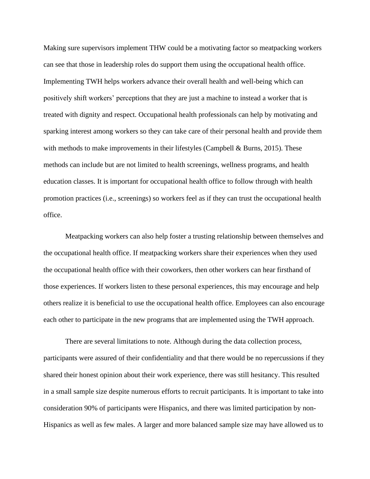Making sure supervisors implement THW could be a motivating factor so meatpacking workers can see that those in leadership roles do support them using the occupational health office. Implementing TWH helps workers advance their overall health and well-being which can positively shift workers' perceptions that they are just a machine to instead a worker that is treated with dignity and respect. Occupational health professionals can help by motivating and sparking interest among workers so they can take care of their personal health and provide them with methods to make improvements in their lifestyles (Campbell  $\&$  Burns, 2015). These methods can include but are not limited to health screenings, wellness programs, and health education classes. It is important for occupational health office to follow through with health promotion practices (i.e., screenings) so workers feel as if they can trust the occupational health office.

Meatpacking workers can also help foster a trusting relationship between themselves and the occupational health office. If meatpacking workers share their experiences when they used the occupational health office with their coworkers, then other workers can hear firsthand of those experiences. If workers listen to these personal experiences, this may encourage and help others realize it is beneficial to use the occupational health office. Employees can also encourage each other to participate in the new programs that are implemented using the TWH approach.

There are several limitations to note. Although during the data collection process, participants were assured of their confidentiality and that there would be no repercussions if they shared their honest opinion about their work experience, there was still hesitancy. This resulted in a small sample size despite numerous efforts to recruit participants. It is important to take into consideration 90% of participants were Hispanics, and there was limited participation by non-Hispanics as well as few males. A larger and more balanced sample size may have allowed us to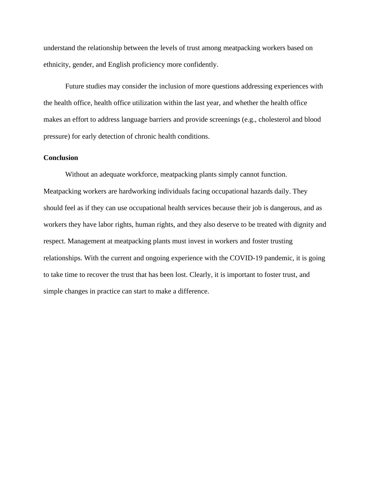understand the relationship between the levels of trust among meatpacking workers based on ethnicity, gender, and English proficiency more confidently.

Future studies may consider the inclusion of more questions addressing experiences with the health office, health office utilization within the last year, and whether the health office makes an effort to address language barriers and provide screenings (e.g., cholesterol and blood pressure) for early detection of chronic health conditions.

### **Conclusion**

Without an adequate workforce, meatpacking plants simply cannot function. Meatpacking workers are hardworking individuals facing occupational hazards daily. They should feel as if they can use occupational health services because their job is dangerous, and as workers they have labor rights, human rights, and they also deserve to be treated with dignity and respect. Management at meatpacking plants must invest in workers and foster trusting relationships. With the current and ongoing experience with the COVID-19 pandemic, it is going to take time to recover the trust that has been lost. Clearly, it is important to foster trust, and simple changes in practice can start to make a difference.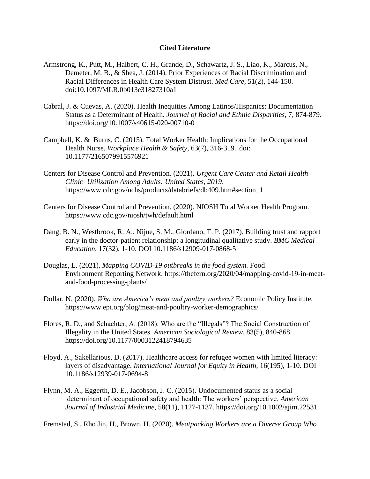### **Cited Literature**

- Armstrong, K., Putt, M., Halbert, C. H., Grande, D., Schawartz, J. S., Liao, K., Marcus, N., Demeter, M. B., & Shea, J. (2014). Prior Experiences of Racial Discrimination and Racial Differences in Health Care System Distrust. *Med Care*, 51(2), 144-150. doi:10.1097/MLR.0b013e31827310a1
- Cabral, J. & Cuevas, A. (2020). Health Inequities Among Latinos/Hispanics: Documentation Status as a Determinant of Health. *Journal of Racial and Ethnic Disparities*, 7, 874-879. <https://doi.org/10.1007/s40615-020-00710-0>
- Campbell, K. & Burns, C. (2015). Total Worker Health: Implications for the Occupational Health Nurse. *Workplace Health & Safety*, 63(7), 316-319. doi: 10.1177/2165079915576921
- Centers for Disease Control and Prevention. (2021). *Urgent Care Center and Retail Health Clinic Utilization Among Adults: United States, 2019*. https://www.cdc.gov/nchs/products/databriefs/db409.htm#section\_1
- Centers for Disease Control and Prevention. (2020). NIOSH Total Worker Health Program. https://www.cdc.gov/niosh/twh/default.html
- Dang, B. N., Westbrook, R. A., Nijue, S. M., Giordano, T. P. (2017). Building trust and rapport early in the doctor-patient relationship: a longitudinal qualitative study. *BMC Medical Education,* 17(32), 1-10. DOI 10.1186/s12909-017-0868-5
- Douglas, L. (2021). *Mapping COVID-19 outbreaks in the food system.* Food Environment Reporting Network. https://thefern.org/2020/04/mapping-covid-19-in-meatand-food-processing-plants/
- Dollar, N. (2020). *Who are America's meat and poultry workers?* Economic Policy Institute*.* https://www.epi.org/blog/meat-and-poultry-worker-demographics/
- Flores, R. D., and Schachter, A. (2018). Who are the "Illegals"? The Social Construction of Illegality in the United States. *American Sociological Review*, 83(5), 840-868. <https://doi.org/10.1177/0003122418794635>
- Floyd, A., Sakellarious, D. (2017). Healthcare access for refugee women with limited literacy: layers of disadvantage. *International Journal for Equity in Health,* 16(195), 1-10. DOI 10.1186/s12939-017-0694-8
- Flynn, M. A., Eggerth, D. E., Jacobson, J. C. (2015). Undocumented status as a social determinant of occupational safety and health: The workers' perspective. *American Journal of Industrial Medicine*, 58(11), 1127-1137.<https://doi.org/10.1002/ajim.22531>

Fremstad, S., Rho Jin, H., Brown, H. (2020). *Meatpacking Workers are a Diverse Group Who*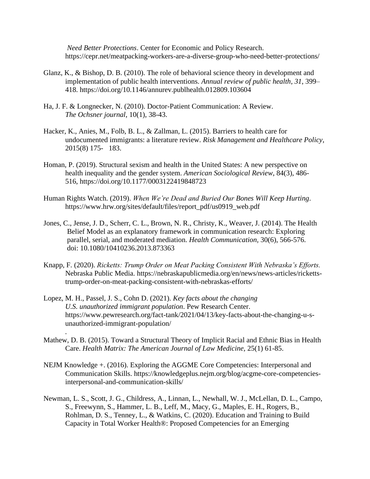*Need Better Protections*. Center for Economic and Policy Research. <https://cepr.net/meatpacking-workers-are-a-diverse-group-who-need-better-protections/>

- Glanz, K., & Bishop, D. B. (2010). The role of behavioral science theory in development and implementation of public health interventions. *Annual review of public health*, *31*, 399– 418.<https://doi.org/10.1146/annurev.publhealth.012809.103604>
- Ha, J. F. & Longnecker, N. (2010). Doctor-Patient Communication: A Review. *The Ochsner journal*, 10(1), 38-43.
- Hacker, K., Anies, M., Folb, B. L., & Zallman, L. (2015). Barriers to health care for undocumented immigrants: a literature review. *Risk Management and Healthcare Policy*, 2015(8) 175- 183.
- Homan, P. (2019). Structural sexism and health in the United States: A new perspective on health inequality and the gender system. *American Sociological Review*, 84(3), 486- 516, https://doi.org/10.1177/0003122419848723
- Human Rights Watch. (2019). *When We're Dead and Buried Our Bones Will Keep Hurting*. [https://www.hrw.org/sites/default/files/report\\_pdf/us0919\\_web.pdf](https://www.hrw.org/sites/default/files/report_pdf/us0919_web.pdf)
- Jones, C., Jense, J. D., Scherr, C. L., Brown, N. R., Christy, K., Weaver, J. (2014). The Health Belief Model as an explanatory framework in communication research: Exploring parallel, serial, and moderated mediation. *Health Communication,* 30(6), 566-576. doi: [10.1080/10410236.2013.873363](https://dx.doi.org/10.1080%2F10410236.2013.873363)
- Knapp, F. (2020). *Ricketts: Trump Order on Meat Packing Consistent With Nebraska's Efforts.* Nebraska Public Media. https://nebraskapublicmedia.org/en/news/news-articles/rickettstrump-order-on-meat-packing-consistent-with-nebraskas-efforts/
- Lopez, M. H., Passel, J. S., Cohn D. (2021). *Key facts about the changing U.S. unauthorized immigrant population*. Pew Research Center. https://www.pewresearch.org/fact-tank/2021/04/13/key-facts-about-the-changing-u-sunauthorized-immigrant-population/

*.* 

- Mathew, D. B. (2015). Toward a Structural Theory of Implicit Racial and Ethnic Bias in Health Care. *Health Matrix: The American Journal of Law Medicine,* 25(1) 61-85.
- NEJM Knowledge +. (2016). Exploring the AGGME Core Competencies: Interpersonal and Communication Skills. https://knowledgeplus.nejm.org/blog/acgme-core-competenciesinterpersonal-and-communication-skills/
- Newman, L. S., Scott, J. G., Childress, A., Linnan, L., Newhall, W. J., McLellan, D. L., Campo, S., Freewynn, S., Hammer, L. B., Leff, M., Macy, G., Maples, E. H., Rogers, B., Rohlman, D. S., Tenney, L., & Watkins, C. (2020). Education and Training to Build Capacity in Total Worker Health®: Proposed Competencies for an Emerging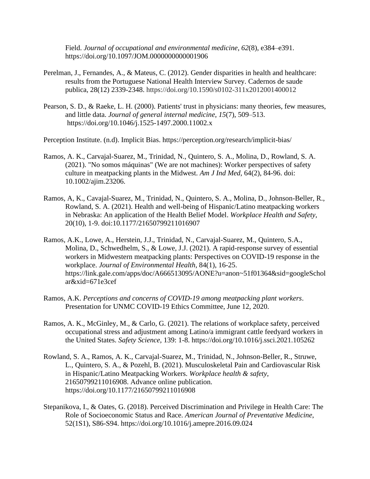Field. *Journal of occupational and environmental medicine*, *62*(8), e384–e391. https://doi.org/10.1097/JOM.0000000000001906

- Perelman, J., Fernandes, A., & Mateus, C. (2012). Gender disparities in health and healthcare: results from the Portuguese National Health Interview Survey. Cadernos de saude publica, 28(12) 2339-2348. https://doi.org/10.1590/s0102-311x2012001400012
- Pearson, S. D., & Raeke, L. H. (2000). Patients' trust in physicians: many theories, few measures, and little data. *Journal of general internal medicine*, *15*(7), 509–513. https://doi.org/10.1046/j.1525-1497.2000.11002.x

Perception Institute. (n.d). Implicit Bias. https://perception.org/research/implicit-bias/

- Ramos, A. K., Carvajal-Suarez, M., Trinidad, N., Quintero, S. A., Molina, D., Rowland, S. A. (2021). "No somos máquinas" (We are not machines): Worker perspectives of safety culture in meatpacking plants in the Midwest. *Am J Ind Med,* 64(2), 84-96. doi: 10.1002/ajim.23206.
- Ramos, A, K., Cavajal-Suarez, M., Trinidad, N., Quintero, S. A., Molina, D., Johnson-Beller, R., Rowland, S. A. (2021). Health and well-being of Hispanic/Latino meatpacking workers in Nebraska: An application of the Health Belief Model. *Workplace Health and Safety,*  20(10), 1-9. doi:10.1177/21650799211016907
- Ramos, A.K., Lowe, A., Herstein, J.J., Trinidad, N., Carvajal-Suarez, M., Quintero, S.A., Molina, D., Schwedhelm, S., & Lowe, J.J. (2021). A rapid-response survey of essential workers in Midwestern meatpacking plants: Perspectives on COVID-19 response in the workplace. *Journal of Environmental Health*, 84(1), 16-25. https://link.gale.com/apps/doc/A666513095/AONE?u=anon~51f01364&sid=googleSchol ar&xid=671e3cef
- Ramos, A.K. *Perceptions and concerns of COVID-19 among meatpacking plant workers*. Presentation for UNMC COVID-19 Ethics Committee, June 12, 2020.
- Ramos, A. K., McGinley, M., & Carlo, G. (2021). The relations of workplace safety, perceived occupational stress and adjustment among Latino/a immigrant cattle feedyard workers in the United States. *Safety Science,* 139: 1-8.<https://doi.org/10.1016/j.ssci.2021.105262>
- Rowland, S. A., Ramos, A. K., Carvajal-Suarez, M., Trinidad, N., Johnson-Beller, R., Struwe, L., Quintero, S. A., & Pozehl, B. (2021). Musculoskeletal Pain and Cardiovascular Risk in Hispanic/Latino Meatpacking Workers. *Workplace health & safety*, 21650799211016908. Advance online publication. https://doi.org/10.1177/21650799211016908
- Stepanikova, I., & Oates, G. (2018). Perceived Discrimination and Privilege in Health Care: The Role of Socioeconomic Status and Race. *American Journal of Preventative Medicine*, 52(1S1), S86-S94.<https://doi.org/10.1016/j.amepre.2016.09.024>